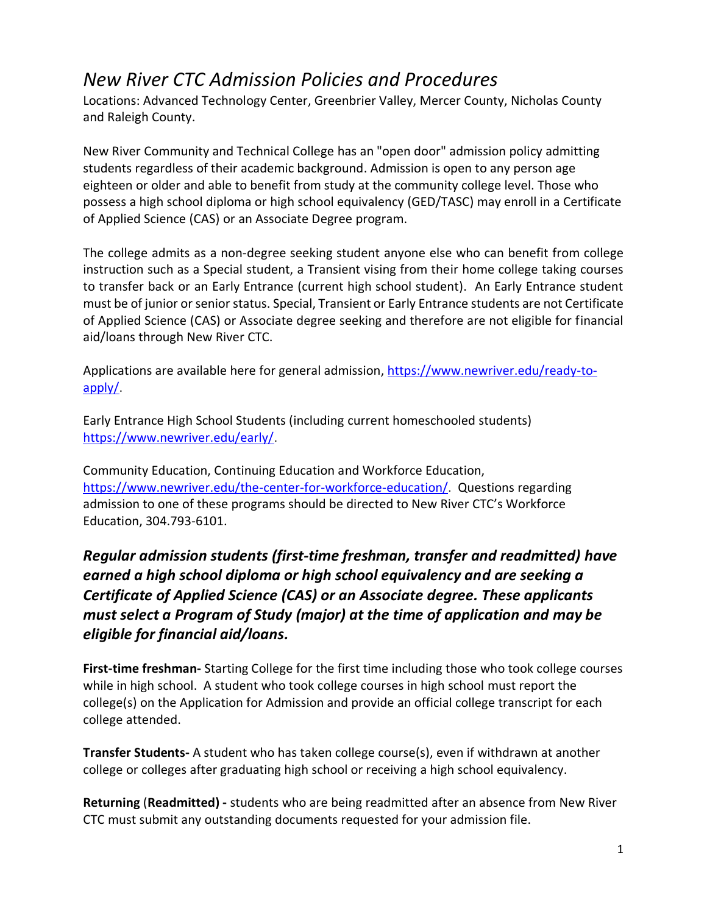## *New River CTC Admission Policies and Procedures*

Locations: Advanced Technology Center, Greenbrier Valley, Mercer County, Nicholas County and Raleigh County.

New River Community and Technical College has an "open door" admission policy admitting students regardless of their academic background. Admission is open to any person age eighteen or older and able to benefit from study at the community college level. Those who possess a high school diploma or high school equivalency (GED/TASC) may enroll in a Certificate of Applied Science (CAS) or an Associate Degree program.

The college admits as a non-degree seeking student anyone else who can benefit from college instruction such as a Special student, a Transient vising from their home college taking courses to transfer back or an Early Entrance (current high school student). An Early Entrance student must be of junior or senior status. Special, Transient or Early Entrance students are not Certificate of Applied Science (CAS) or Associate degree seeking and therefore are not eligible for financial aid/loans through New River CTC.

Applications are available here for general admission, [https://www.newriver.edu/ready-to](https://www.newriver.edu/ready-to-apply/)[apply/.](https://www.newriver.edu/ready-to-apply/)

Early Entrance High School Students (including current homeschooled students) [https://www.newriver.edu/early/.](https://www.newriver.edu/early/)

Community Education, Continuing Education and Workforce Education, [https://www.newriver.edu/the-center-for-workforce-education/.](https://www.newriver.edu/the-center-for-workforce-education/) Questions regarding admission to one of these programs should be directed to New River CTC's Workforce Education, 304.793-6101.

*Regular admission students (first-time freshman, transfer and readmitted) have earned a high school diploma or high school equivalency and are seeking a Certificate of Applied Science (CAS) or an Associate degree. These applicants must select a Program of Study (major) at the time of application and may be eligible for financial aid/loans.*

**First-time freshman-** Starting College for the first time including those who took college courses while in high school. A student who took college courses in high school must report the college(s) on the Application for Admission and provide an official college transcript for each college attended.

**Transfer Students-** A student who has taken college course(s), even if withdrawn at another college or colleges after graduating high school or receiving a high school equivalency.

**Returning** (**Readmitted) -** students who are being readmitted after an absence from New River CTC must submit any outstanding documents requested for your admission file.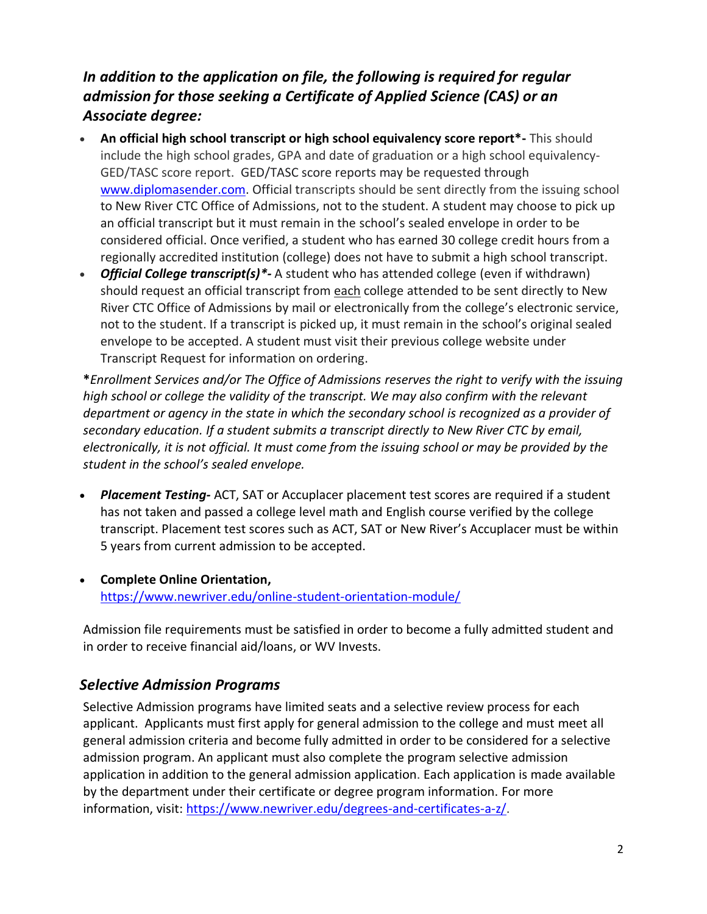## *In addition to the application on file, the following is required for regular admission for those seeking a Certificate of Applied Science (CAS) or an Associate degree:*

- **An official high school transcript or high school equivalency score report\*-** This should include the high school grades, GPA and date of graduation or a high school equivalency-GED/TASC score report. GED/TASC score reports may be requested through [www.diplomasender.com.](http://www.diplomasender.com/) Official transcripts should be sent directly from the issuing school to New River CTC Office of Admissions, not to the student. A student may choose to pick up an official transcript but it must remain in the school's sealed envelope in order to be considered official. Once verified, a student who has earned 30 college credit hours from a regionally accredited institution (college) does not have to submit a high school transcript.
- *Official College transcript(s)\*-* A student who has attended college (even if withdrawn) should request an official transcript from each college attended to be sent directly to New River CTC Office of Admissions by mail or electronically from the college's electronic service, not to the student. If a transcript is picked up, it must remain in the school's original sealed envelope to be accepted. A student must visit their previous college website under Transcript Request for information on ordering.

**\****Enrollment Services and/or The Office of Admissions reserves the right to verify with the issuing high school or college the validity of the transcript. We may also confirm with the relevant department or agency in the state in which the secondary school is recognized as a provider of secondary education. If a student submits a transcript directly to New River CTC by email, electronically, it is not official. It must come from the issuing school or may be provided by the student in the school's sealed envelope.* 

- *Placement Testing-* ACT, SAT or Accuplacer placement test scores are required if a student has not taken and passed a college level math and English course verified by the college transcript. Placement test scores such as ACT, SAT or New River's Accuplacer must be within 5 years from current admission to be accepted.
- **Complete Online Orientation,**  <https://www.newriver.edu/online-student-orientation-module/>

Admission file requirements must be satisfied in order to become a fully admitted student and in order to receive financial aid/loans, or WV Invests.

## *Selective Admission Programs*

Selective Admission programs have limited seats and a selective review process for each applicant. Applicants must first apply for general admission to the college and must meet all general admission criteria and become fully admitted in order to be considered for a selective admission program. An applicant must also complete the program selective admission application in addition to the general admission application. Each application is made available by the department under their certificate or degree program information. For more information, visit: [https://www.newriver.edu/degrees-and-certificates-a-z/.](https://www.newriver.edu/degrees-and-certificates-a-z/)